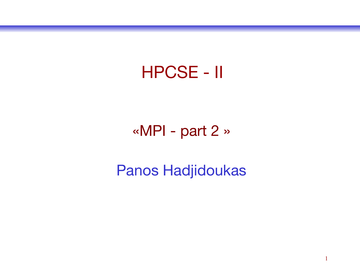### HPCSE - II

### «MPI - part 2 »

### Panos Hadjidoukas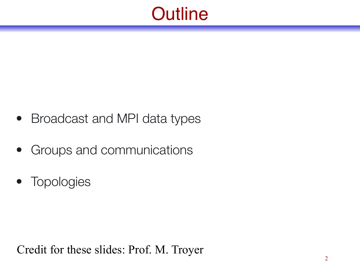### **Outline**

- Broadcast and MPI data types
- Groups and communications
- Topologies

Credit for these slides: Prof. M. Troyer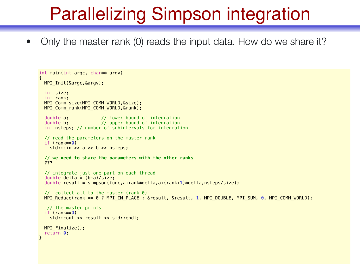# Parallelizing Simpson integration

• Only the master rank (0) reads the input data. How do we share it?

```
int main(int argc, char** argv)
{ 
 MPI Init(&argc, &argv);
   int size; 
   int rank; 
  MPI_Comm_size(MPI_COMM_WORLD,&size); 
 MPI Comm rank(MPI COMM WORLD, &rank);
  double a; \frac{1}{2} // lower bound of integration
  double b; \frac{1}{2} // upper bound of integration
   int nsteps; // number of subintervals for integration
   // read the parameters on the master rank
  if (rank==0)std::cin \gg a \gg b \gg nsteps; // we need to share the parameters with the other ranks
   ??? 
   // integrate just one part on each thread
  double delta = (b-a)/size;double result = simpson(func,a+rank*delta,a+(rank+1)*delta,nsteps/size);
   // collect all to the master (rank 0)
  MPI_Reduce(rank == 0 ? MPI_IN_PLACE : &result, &result, 1, MPI_DOUBLE, MPI_SUM, 0, MPI_COMM_WORLD); 
   // the master prints
   if (rank==0) 
     std::cout << result << std::endl; 
  MPI Finalize();
   return 0; 
}
```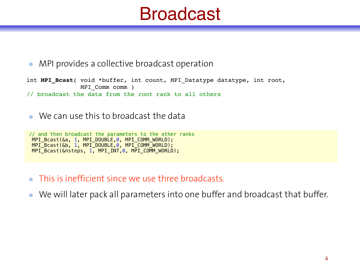### Broadcast

MPI provides a collective broadcast operation  $\bullet$ 

int **MPI\_Bcast**( void \*buffer, int count, MPI\_Datatype datatype, int root, MPI\_Comm comm ) // broadcast the data from the *root* rank to all others

We can use this to broadcast the data

// and then broadcast the parameters to the other ranks MPI\_Bcast(&a, 1, MPI\_DOUBLE,0, MPI\_COMM\_WORLD); MPI\_Bcast(&b, 1, MPI\_DOUBLE,0, MPI\_COMM\_WORLD); MPI\_Bcast(&nsteps, 1, MPI\_INT,0, MPI\_COMM\_WORLD);

This is inefficient since we use three broadcasts.

We will later pack all parameters into one buffer and broadcast that buffer.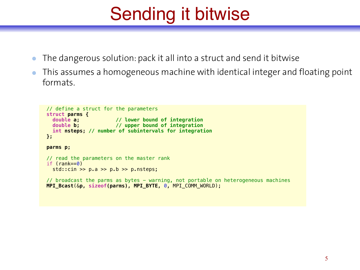# Sending it bitwise

- The dangerous solution: pack it all into a struct and send it bitwise  $\bullet$
- This assumes a homogeneous machine with identical integer and floating point formats.

```
 // define a struct for the parameters
  struct parms { 
 double a; // lower bound of integration
 double b; // upper bound of integration
    int nsteps; // number of subintervals for integration
  }; 
  parms p; 
  // read the parameters on the master rank
 if (rank==0)std::cin \gg p.a \gg p.b \gg p.nsteps; // broadcast the parms as bytes - warning, not portable on heterogeneous machines
  MPI_Bcast(&p, sizeof(parms), MPI_BYTE, 0, MPI_COMM_WORLD);
```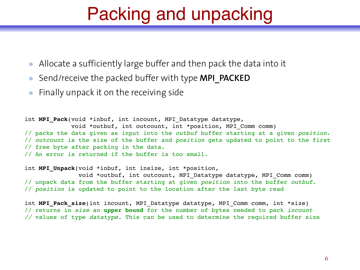### Packing and unpacking

- Allocate a sufficiently large buffer and then pack the data into it
- Send/receive the packed buffer with type **MPI\_PACKED**
- Finally unpack it on the receiving side

```
int MPI_Pack(void *inbuf, int incount, MPI_Datatype datatype,
              void *outbuf, int outcount, int *position, MPI_Comm comm)
// packs the data given as input into the outbuf buffer starting at a given position.
// outcount is the size of the buffer and position gets updated to point to the first
// free byte after packing in the data. 
// An error is returned if the buffer is too small.
```
int **MPI Unpack**(void \*inbuf, int insize, int \*position, void \*outbuf, int outcount, MPI\_Datatype datatype, MPI\_Comm comm) // unpack data from the buffer starting at given *position* into the buffer *outbuf*. // *position* is updated to point to the location after the last byte read

int **MPI\_Pack\_size**(int incount, MPI\_Datatype datatype, MPI\_Comm comm, int \*size) // returns in *size* an **upper bound** for the number of bytes needed to pack *incount //* values of type *datatype.* This can be used to determine the required buffer size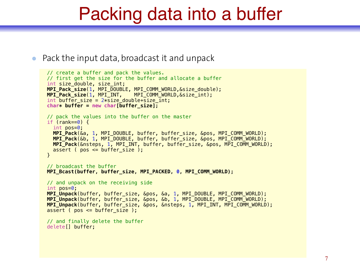### Packing data into a buffer

Pack the input data, broadcast it and unpack  $\bullet$ 

```
 // create a buffer and pack the values.
 // first get the size for the buffer and allocate a buffer
int size double, size int;
 MPI_Pack_size(1, MPI_DOUBLE, MPI_COMM_WORLD,&size_double); 
 MPI_Pack_size(1, MPI_INT, MPI_COMM_WORLD,&size_int); 
int buffer size = 2*size double+size int;
 char* buffer = new char[buffer_size]; 
 // pack the values into the buffer on the master
if (rank==0) {
   int pos=0; 
   MPI_Pack(&a, 1, MPI_DOUBLE, buffer, buffer_size, &pos, MPI_COMM_WORLD); 
   MPI_Pack(&b, 1, MPI_DOUBLE, buffer, buffer_size, &pos, MPI_COMM_WORLD); 
   MPI_Pack(&nsteps, 1, MPI_INT, buffer, buffer_size, &pos, MPI_COMM_WORLD); 
  assert ( pos \leq buffer size ):
 } 
 // broadcast the buffer
 MPI_Bcast(buffer, buffer_size, MPI_PACKED, 0, MPI_COMM_WORLD); 
 // and unpack on the receiving side
 int pos=0; 
 MPI_Unpack(buffer, buffer_size, &pos, &a, 1, MPI_DOUBLE, MPI_COMM_WORLD); 
 MPI_Unpack(buffer, buffer_size, &pos, &b, 1, MPI_DOUBLE, MPI_COMM_WORLD); 
 MPI_Unpack(buffer, buffer_size, &pos, &nsteps, 1, MPI_INT, MPI_COMM_WORLD); 
assert (pos \leq buffer size );
 // and finally delete the buffer
 delete[] buffer;
```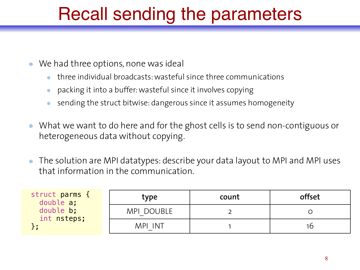# Recall sending the parameters

- We had three options, none was ideal
	- three individual broadcasts: wasteful since three communications
	- packing it into a buffer: wasteful since it involves copying
	- sending the struct bitwise: dangerous since it assumes homogeneity
- What we want to do here and for the ghost cells is to send non-contiguous or heterogeneous data without copying.
- The solution are MPI datatypes: describe your data layout to MPI and MPI uses that information in the communication.

| struct parms {<br>double a;<br>double b;<br>int nsteps; | type       | count | offset |
|---------------------------------------------------------|------------|-------|--------|
|                                                         | MPI DOUBLE |       |        |
|                                                         | MPI INT    |       | 10     |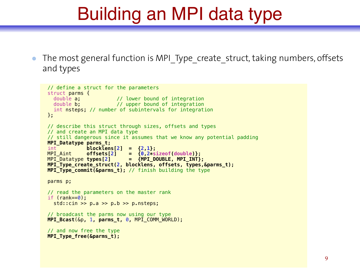## Building an MPI data type

The most general function is MPI Type create struct, taking numbers, offsets  $\bullet$ and types

```
 // define a struct for the parameters
 struct parms { 
  double a; \frac{1}{2} // lower bound of integration
  double b; \frac{1}{2} // upper bound of integration
   int nsteps; // number of subintervals for integration
 }; 
 // describe this struct through sizes, offsets and types
 // and create an MPI data type
 // still dangerous since it assumes that we know any potential padding
 MPI_Datatype parms_t; 
int blocklens[2] = {2,1};<br>MPI Aint offsets[2] = {0,2*s
             offsets[2] = {0,2*sizeof(double)};
MPI_Datatype types[2] = {MPI_DOUBLE, MPI_INT};
 MPI_Type_create_struct(2, blocklens, offsets, types,&parms_t); 
 MPI_Type_commit(&parms_t); // finish building the type
 parms p; 
 // read the parameters on the master rank
 if (rank==0); 
  std::cin \gg p.a \gg p.b \gg p.nsteps; // broadcast the parms now using our type
 MPI_Bcast(&p, 1, parms_t, 0, MPI_COMM_WORLD); 
 // and now free the type
 MPI_Type_free(&parms_t);
```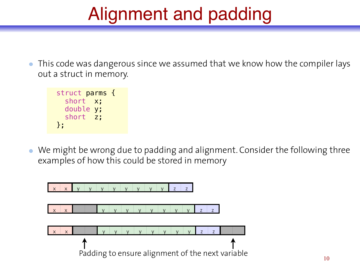# Alignment and padding

This code was dangerous since we assumed that we know how the compiler lays out a struct in memory.

```
 struct parms { 
   short x; 
   double y; 
   short z; 
 };
```
We might be wrong due to padding and alignment. Consider the following three examples of how this could be stored in memory

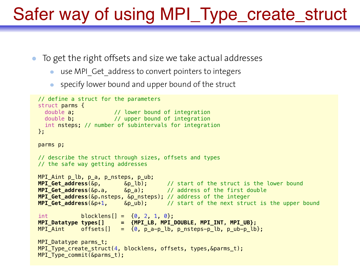### Safer way of using MPI\_Type\_create\_struct

- To get the right offsets and size we take actual addresses
	- use MPI Get address to convert pointers to integers
	- specify lower bound and upper bound of the struct  $\bullet$

```
 // define a struct for the parameters
  struct parms { 
   double a; \frac{1}{2} // lower bound of integration
   double b; \frac{1}{2} upper bound of integration
    int nsteps; // number of subintervals for integration
  }; 
  parms p; 
  // describe the struct through sizes, offsets and types
  // the safe way getting addresses
  MPI_Aint p_lb, p_a, p_nsteps, p_ub; 
 MPI_Get_address(&p, &p_lb); // start of the struct is the lower bound
 MPI_Get_address(&p.a, &p_a); // address of the first double
  MPI_Get_address(&p.nsteps, &p_nsteps); // address of the integer
  MPI_Get_address(&p+1, &p_ub); // start of the next struct is the upper bound
 int block{l = {0, 2, 1, 0}}; MPI_Datatype types[] = {MPI_LB, MPI_DOUBLE, MPI_INT, MPI_UB}; 
 MPI Aint offsets[] = \{0, p\} a-p_lb, p_nsteps-p_lb, p_ub-p_lb};
  MPI_Datatype parms_t; 
  MPI_Type_create_struct(4, blocklens, offsets, types,&parms_t); 
 MPI Type commit(\deltaparms t);
```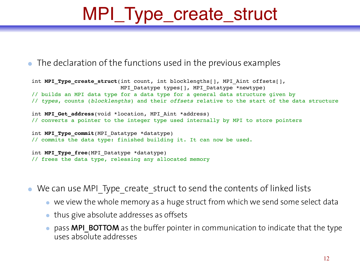# MPI\_Type\_create\_struct

#### • The declaration of the functions used in the previous examples

```
int MPI Type create struct(int count, int blocklengths[], MPI Aint offsets[],
                           MPI Datatype types[], MPI Datatype *newtype)
// builds an MPI data type for a data type for a general data structure given by 
// types, counts (blocklengths) and their offsets relative to the start of the data structure
int MPI Get address(void *location, MPI Aint *address)
// converts a pointer to the integer type used internally by MPI to store pointers
int MPI Type commit(MPI Datatype *datatype)
// commits the data type: finished building it. It can now be used.
int MPI Type free(MPI Datatype *datatype)
// frees the data type, releasing any allocated memory
```
We can use MPI Type create struct to send the contents of linked lists

- we view the whole memory as a huge struct from which we send some select data
- thus give absolute addresses as offsets
- pass **MPI\_BOTTOM** as the buffer pointer in communication to indicate that the type uses absolute addresses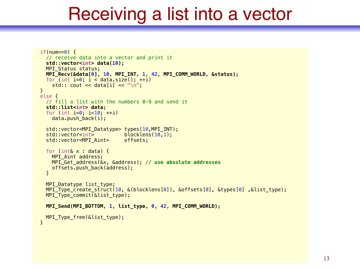### Receiving a list into a vector

```
if(num==0) {
   // receive data into a vector and print it
   std::vector<int> data(10); 
  MPI Status status;
   MPI_Recv(&data[0], 10, MPI_INT, 1, 42, MPI_COMM_WORLD, &status); 
  for (int i=0; i < data.size(); +i)
    std:: \text{cout} \ll \text{data[i]} \ll \text{"n"};
 } 
 else { 
   // fill a list with the numbers 0-9 and send it
   std::list<int> data; 
  for (int i=0; i<10, +i)
     data.push_back(i); 
   std::vector<MPI_Datatype> types(10,MPI_INT); 
  std::vector<int>
   std::vector<MPI_Aint> offsets; 
  for (int& x : data) {
     MPI_Aint address; 
     MPI_Get_address(&x, &address); // use absolute addresses
     offsets.push_back(address); 
   } 
  MPI Datatype list type;
   MPI_Type_create_struct(10, &(blocklens[0]), &offsets[0], &types[0] ,&list_type); 
  MPI Type commit(&list type);
   MPI_Send(MPI_BOTTOM, 1, list_type, 0, 42, MPI_COMM_WORLD); 
   MPI_Type_free(&list_type); 
 }
```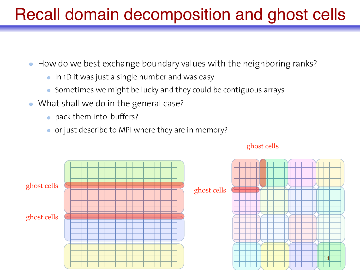### Recall domain decomposition and ghost cells

- How do we best exchange boundary values with the neighboring ranks?
	- In 1D it was just a single number and was easy
	- Sometimes we might be lucky and they could be contiguous arrays
- What shall we do in the general case?
	- pack them into buffers?
	- or just describe to MPI where they are in memory?



#### ghost cells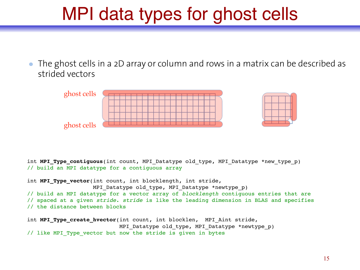### MPI data types for ghost cells

The ghost cells in a 2D array or column and rows in a matrix can be described as strided vectors



int **MPI\_Type\_contiguous**(int count, MPI\_Datatype old\_type, MPI\_Datatype \*new\_type\_p) // build an MPI datatype for a contiguous array

int **MPI\_Type\_vector**(int count, int blocklength, int stride, MPI Datatype old type, MPI Datatype \*newtype p) // build an MPI datatype for a vector array of *blocklength* contiguous entries that are // spaced at a given *stride*. *stride* is like the leading dimension in BLAS and specifies // the distance between blocks int MPI Type create hvector(int count, int blocklen, MPI Aint stride, MPI Datatype old type, MPI Datatype \*newtype p)

// like MPI\_Type\_vector but now the stride is given in bytes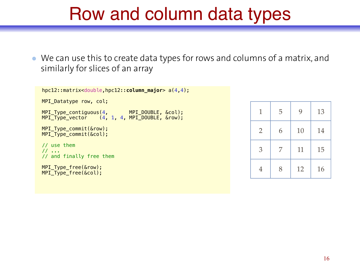### Row and column data types

We can use this to create data types for rows and columns of a matrix, and similarly for slices of an array

```
 hpc12::matrix<double,hpc12::column_major> a(4,4); 
  MPI_Datatype row, col; 
 MPI_Type_contiguous(4, MPI_DOUBLE, &col);
 MPI_Type_vector (4, 1, 4, MPI_DOUBLE, &row); 
 MPI Type commit(&row);
  MPI_Type_commit(&col); 
  // use them
  // ...
  // and finally free them
  MPI_Type_free(&row);
 MPI<sup>Type</sub><sup>free(&col)</sup>;</sup>
```

| $\mathbf 1$    | 5 | 9  | 13 |
|----------------|---|----|----|
| $\overline{2}$ | 6 | 10 | 14 |
| 3              | 7 | 11 | 15 |
| 4              | 8 | 12 | 16 |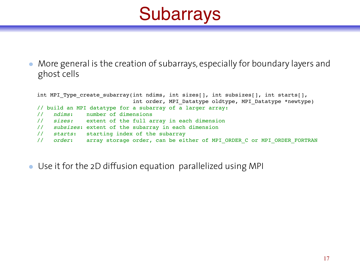# **Subarrays**

More general is the creation of subarrays, especially for boundary layers and ghost cells

int MPI Type create subarray(int ndims, int sizes[], int subsizes[], int starts[], int order, MPI Datatype oldtype, MPI Datatype \*newtype) // build an MPI datatype for a subarray of a larger array: // *ndims*: number of dimensions // *sizes:* extent of the full array in each dimension // *subsizes*: extent of the subarray in each dimension // *starts*: starting index of the subarray // *order*: array storage order, can be either of MPI\_ORDER\_C or MPI\_ORDER\_FORTRAN

Use it for the 2D diffusion equation parallelized using MPI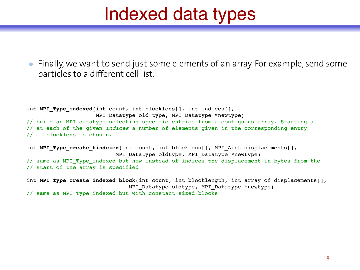### Indexed data types

Finally, we want to send just some elements of an array. For example, send some particles to a different cell list.

int **MPI\_Type\_indexed**(int count, int blocklens[], int indices[], MPI Datatype old type, MPI Datatype \*newtype) // build an MPI datatype selecting specific entries from a contiguous array. Starting a // at each of the given *indices* a number of elements given in the corresponding entry // of blocklens is chosen.

int **MPI Type create hindexed**(int count, int blocklens[], MPI Aint displacements[], MPI Datatype oldtype, MPI Datatype \*newtype) // same as MPI\_Type\_indexed but now instead of indices the displacement in bytes from the // start of the array is specified

int MPI Type create indexed block(int count, int blocklength, int array of displacements[], MPI Datatype oldtype, MPI Datatype \*newtype) // same as MPI\_Type\_indexed but with constant sized blocks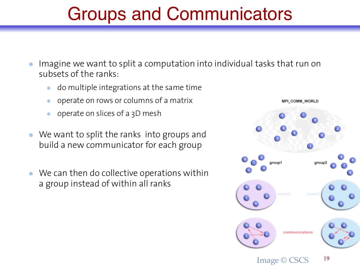### Groups and Communicators

- Imagine we want to split a computation into individual tasks that run on subsets of the ranks:
	- do multiple integrations at the same time
	- operate on rows or columns of a matrix
	- operate on slices of a 3D mesh
- We want to split the ranks into groups and build a new communicator for each group
- We can then do collective operations within a group instead of within all ranks

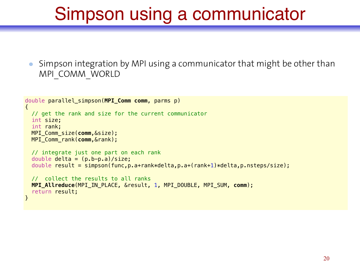# Simpson using a communicator

Simpson integration by MPI using a communicator that might be other than MPI\_COMM\_WORLD

```
double parallel_simpson(MPI_Comm comm, parms p) 
{ 
   // get the rank and size for the current communicator
   int size; 
   int rank; 
   MPI_Comm_size(comm,&size); 
   MPI_Comm_rank(comm,&rank); 
   // integrate just one part on each rank
  double delta = (p.b-p.a)/size;double result = simpson(func,p.a+rank*delta,p.a+(rank+1)*delta,p.nsteps/size);
   // collect the results to all ranks
   MPI_Allreduce(MPI_IN_PLACE, &result, 1, MPI_DOUBLE, MPI_SUM, comm); 
   return result; 
}
```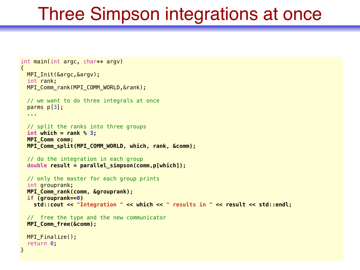### Three Simpson integrations at once

```
int main(int argc, char** argv)
{ 
  MPI_Init(&argc,&argv); 
   int rank; 
  MPI_Comm_rank(MPI_COMM_WORLD,&rank); 
  // we want to do three integrals at once
   parms p[3]; 
   ... 
   // split the ranks into three groups
   int which = rank % 3; 
  MPI_Comm comm; 
  MPI_Comm_split(MPI_COMM_WORLD, which, rank, &comm); 
  // do the integration in each group
   double result = parallel_simpson(comm,p[which]); 
   // only the master for each group prints
   int grouprank; 
  MPI_Comm_rank(comm, &grouprank); 
   if (grouprank==0) 
     std::cout << "Integration " << which << " results in " << result << std::endl; 
  // free the type and the new communicator
  MPI_Comm_free(&comm); 
 MPI Finalize();
   return 0; 
}
```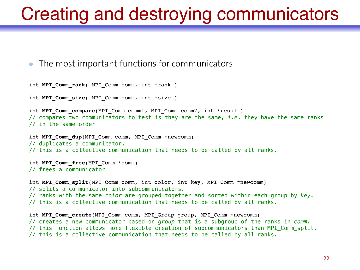### Creating and destroying communicators

#### The most important functions for communicators

```
int MPI_Comm_rank( MPI_Comm comm, int *rank ) 
int MPI Comm size( MPI Comm comm, int *size )
int MPI Comm compare(MPI Comm comm1, MPI Comm comm2, int *result)
// compares two communicators to test is they are the same, i.e. they have the same ranks 
// in the same order 
int MPI Comm dup(MPI Comm comm, MPI Comm *newcomm)
// duplicates a communicator. 
// this is a collective communication that needs to be called by all ranks. 
int MPI_Comm_free(MPI_Comm *comm)
// frees a communicator 
int MPI_Comm_split(MPI_Comm comm, int color, int key, MPI_Comm *newcomm)
// splits a communicator into subcommunicators. 
// ranks with the same color are grouped together and sorted within each group by key.
// this is a collective communication that needs to be called by all ranks. 
int MPI Comm create(MPI Comm comm, MPI Group group, MPI Comm *newcomm)
// creates a new communicator based on group that is a subgroup of the ranks in comm.
// this function allows more flexible creation of subcommunicators than MPI_Comm_split. 
// this is a collective communication that needs to be called by all ranks.
```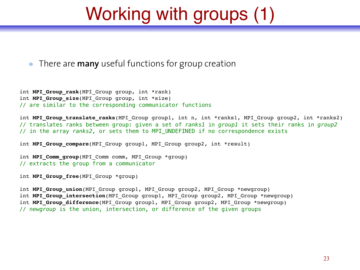# Working with groups (1)

There are **many** useful functions for group creation

int **MPI Group rank**(MPI Group group, int \*rank) int **MPI Group size**(MPI Group group, int \*size) // are similar to the corresponding communicator functions

int **MPI\_Group\_translate\_ranks**(MPI\_Group group1, int n, int \*ranks1, MPI\_Group group2, int \*ranks2) // translates ranks between group: given a set of *ranks1* in *group1* it sets their ranks in *group2* // in the array *ranks2,* or sets them to MPI\_UNDEFINED if no correspondence exists

int **MPI Group compare**(MPI Group group1, MPI Group group2, int \*result)

int **MPI Comm group**(MPI Comm comm, MPI Group \*group) // extracts the group from a communicator

int **MPI\_Group\_free**(MPI\_Group \*group)

int **MPI Group union**(MPI Group group1, MPI Group group2, MPI Group \*newgroup) int **MPI\_Group\_intersection**(MPI\_Group group1, MPI\_Group group2, MPI\_Group \*newgroup) int MPI Group difference(MPI Group group1, MPI Group group2, MPI Group \*newgroup) // *newgroup* is the union, intersection, or difference of the given groups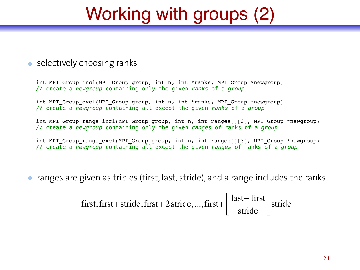# Working with groups (2)

#### • selectively choosing ranks

int MPI Group incl(MPI Group group, int n, int \*ranks, MPI Group \*newgroup) // create a *newgroup* containing only the given *ranks* of a *group*

int MPI Group excl(MPI Group group, int n, int \*ranks, MPI Group \*newgroup) // create a *newgroup* containing all except the given *ranks* of a *group*

int MPI Group range incl(MPI Group group, int n, int ranges[][3], MPI\_Group \*newgroup) // create a *newgroup* containing only the given *ranges* of ranks of a *group* 

int MPI Group range excl(MPI Group group, int n, int ranges[][3], MPI Group \*newgroup) // create a *newgroup* containing all except the given *ranges* of ranks of a *group* 

ranges are given as triples (first, last, stride), and a range includes the ranks

first, first+ stride, first+ 2 stride, ..., first+ 
$$
\left\lfloor \frac{\text{last} - \text{first}}{\text{ stride}} \right\rfloor
$$
 stride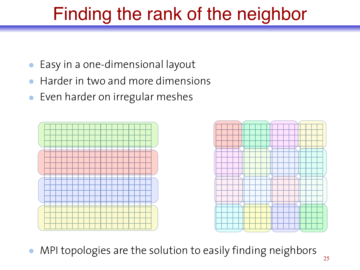# Finding the rank of the neighbor

- Easy in a one-dimensional layout
- Harder in two and more dimensions
- Even harder on irregular meshes  $\bullet$





MPI topologies are the solution to easily finding neighbors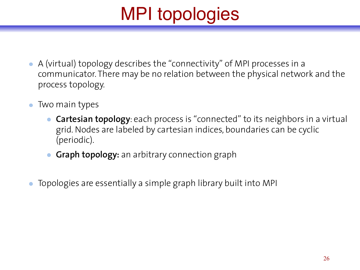# MPI topologies

- A (virtual) topology describes the "connectivity" of MPI processes in a communicator. There may be no relation between the physical network and the process topology.
- Two main types
	- **Cartesian topology**: each process is "connected" to its neighbors in a virtual grid. Nodes are labeled by cartesian indices, boundaries can be cyclic (periodic).
	- **Graph topology:** an arbitrary connection graph
- Topologies are essentially a simple graph library built into MPI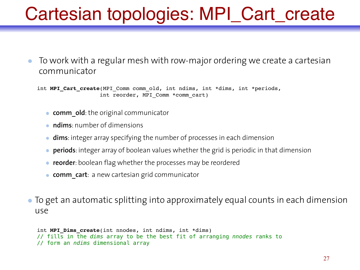# Cartesian topologies: MPI\_Cart\_create

To work with a regular mesh with row-major ordering we create a cartesian communicator

int MPI Cart create(MPI Comm comm old, int ndims, int \*dims, int \*periods, int reorder, MPI Comm \*comm cart)

- **comm** old: the original communicator
- **ndims**: number of dimensions
- **dims**: integer array specifying the number of processes in each dimension
- **periods**: integer array of boolean values whether the grid is periodic in that dimension
- **reorder**: boolean flag whether the processes may be reordered
- **comm cart**: a new cartesian grid communicator
- To get an automatic splitting into approximately equal counts in each dimension use

```
int MPI_Dims_create(int nnodes, int ndims, int *dims)
// fills in the dims array to be the best fit of arranging nnodes ranks to 
// form an ndims dimensional array
```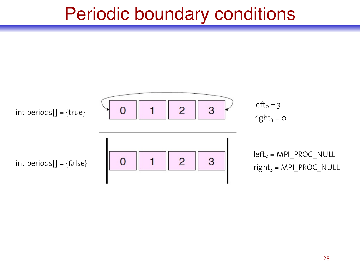### Periodic boundary conditions

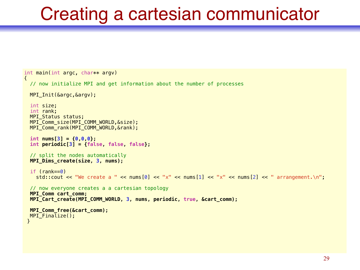### Creating a cartesian communicator

```
int main(int argc, char** argv)
{ 
  // now initialize MPI and get information about the number of processes
 MPI Init(&argc, &argv);
  int size; 
   int rank; 
 MPI Status status;
  MPI_Comm_size(MPI_COMM_WORLD,&size); 
 MPI Comm rank(MPI COMM WORLD, &rank);
  int nums[3] = {0,0,0}; 
   int periodic[3] = {false, false, false}; 
  // split the nodes automatically
  MPI_Dims_create(size, 3, nums); 
   if (rank==0) 
    std::cout << "We create a " << nums[0] << "x" << nums[1] << "x" << nums[2] << " arrangement.\n";
  // now everyone creates a a cartesian topology
  MPI_Comm cart_comm; 
  MPI_Cart_create(MPI_COMM_WORLD, 3, nums, periodic, true, &cart_comm); 
  MPI_Comm_free(&cart_comm); 
  MPI_Finalize(); 
  }
```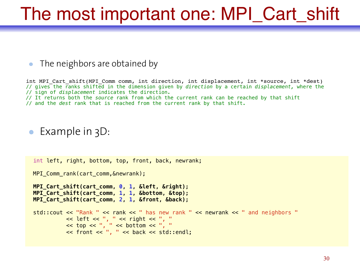### The most important one: MPI\_Cart\_shift

#### The neighbors are obtained by

 int MPI\_Cart\_shift(MPI\_Comm comm, int direction, int displacement, int \*source, int \*dest) // gives the ranks shifted in the dimension given by *direction* by a certain *displacement,* where the // sign of *displacement* indicates the direction. *//* It returns both the *source* rank from which the current rank can be reached by that shift // and the *dest* rank that is reached from the current rank by that shift.

#### • Example in 3D:

```
 int left, right, bottom, top, front, back, newrank; 
MPI Comm rank(cart comm, &newrank);
 MPI_Cart_shift(cart_comm, 0, 1, &left, &right); 
 MPI_Cart_shift(cart_comm, 1, 1, &bottom, &top); 
 MPI_Cart_shift(cart_comm, 2, 1, &front, &back); 
std:: cout << "Rank " << rank << " has new rank " << newrank << " and neighbors "
          \ll left \ll ", " \ll right \ll ", "
          \lt top \lt ", " \lt bottom \lt ", "
           << front << ", " << back << std::endl;
```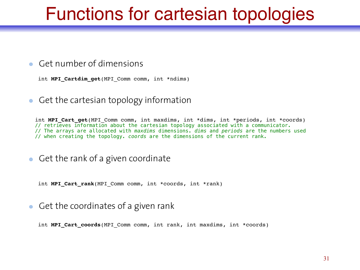### Functions for cartesian topologies

#### Get number of dimensions

int **MPI\_Cartdim\_get**(MPI\_Comm comm, int \*ndims)

 $\bullet$  Get the cartesian topology information

int **MPI Cart get** (MPI Comm comm, int maxdims, int \*dims, int \*periods, int \*coords) // retrieves information about the cartesian topology associated with a communicator. // The arrays are allocated with *maxdims* dimensions. *dims* and *periods* are the numbers used // when creating the topology. *coords* are the dimensions of the current rank.

 $\bullet$  Get the rank of a given coordinate

int **MPI\_Cart\_rank**(MPI\_Comm comm, int \*coords, int \*rank)

Get the coordinates of a given rank

int MPI Cart coords (MPI Comm comm, int rank, int maxdims, int \*coords)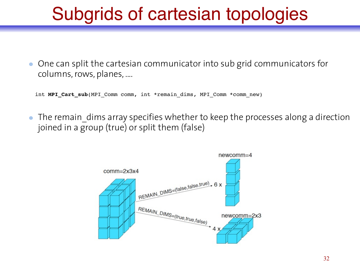# Subgrids of cartesian topologies

One can split the cartesian communicator into sub grid communicators for columns, rows, planes, ....

int **MPI Cart sub**(MPI Comm comm, int \*remain dims, MPI Comm \*comm new)

The remain dims array specifies whether to keep the processes along a direction joined in a group (true) or split them (false)

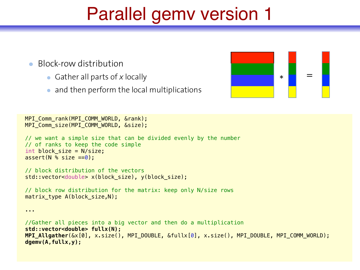### Parallel gemv version 1

- Block-row distribution
	- Gather all parts of *x* locally
	- and then perform the local multiplications



```
MPI Comm rank(MPI COMM WORLD, &rank);
 MPI_Comm_size(MPI_COMM_WORLD, &size);
```
...

```
 // we want a simple size that can be divided evenly by the number
 // of ranks to keep the code simple
int block size = N/size;assert(N % size == 0):
```

```
 // block distribution of the vectors
 std::vector<double> x(block_size), y(block_size);
```

```
 // block row distribution for the matrix: keep only N/size rows
 matrix_type A(block_size,N);
```

```
 //Gather all pieces into a big vector and then do a multiplication
 std::vector<double> fullx(N); 
 MPI_Allgather(&x[0], x.size(), MPI_DOUBLE, &fullx[0], x.size(), MPI_DOUBLE, MPI_COMM_WORLD); 
 dgemv(A,fullx,y);
```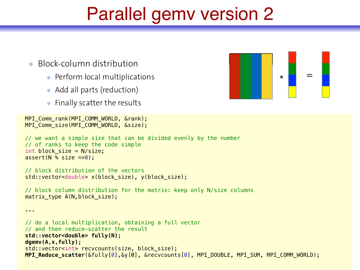### Parallel gemv version 2

#### Block-column distribution

- Perform local multiplications
- Add all parts (reduction)
- Finally scatter the results

```
MPI Comm rank(MPI COMM WORLD, &rank);
 MPI_Comm_size(MPI_COMM_WORLD, &size);
```

```
 // we want a simple size that can be divided evenly by the number
 // of ranks to keep the code simple
int block size = N/size;assert(N % size == 0):
```

```
 // block distribution of the vectors
 std::vector<double> x(block_size), y(block_size);
```
 // block column distribution for the matrix: keep only N/size columns matrix type A(N,block size);

```
 ... 
 // do a local multiplication, obtaining a full vector
 // and then reduce-scatter the result
 std::vector<double> fully(N); 
 dgemv(A,x,fully); 
std::vector<int> recvcounts(size, block size);
 MPI_Reduce_scatter(&fully[0],&y[0], &recvcounts[0], MPI_DOUBLE, MPI_SUM, MPI_COMM_WORLD);
```
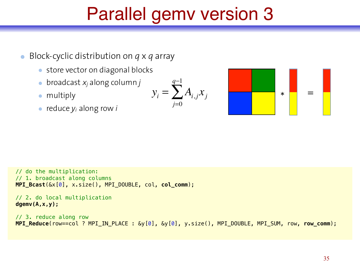# Parallel gemv version 3

- Block-cyclic distribution on *q* x *q* array  $\bullet$ 
	- store vector on diagonal blocks
	- broadcast *xj* along column *j*
	- multiply
	- reduce *yi* along row *i*

$$
y_i = \sum_{j=0}^{q-1} A_{i,j} x_j
$$



 // do the multiplication: // 1. broadcast along columns **MPI\_Bcast**(&x[0], x.size(), MPI\_DOUBLE, col, **col\_comm**);

 // 2. do local multiplication  **dgemv(A,x,y);** 

 // 3. reduce along row **MPI\_Reduce**(row==col ? MPI\_IN\_PLACE : &y[0], &y[0], y.size(), MPI\_DOUBLE, MPI\_SUM, row, **row\_comm**);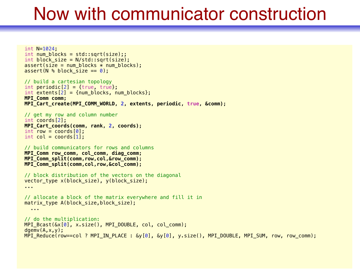### Now with communicator construction

```
 int N=1024; 
int num blocks = std::sqrt(size);;
int block size = N/std::sqrt(size);
assert(size = num_blocks * num_blocks);assert(N % block \overline{s}ize == 0):
 // build a cartesian topology
int periodic[2] = {true, true};int extents[2] = {num blocks, num blocks}; MPI_Comm comm; 
 MPI_Cart_create(MPI_COMM_WORLD, 2, extents, periodic, true, &comm); 
 // get my row and column number
 int coords[2]; 
 MPI_Cart_coords(comm, rank, 2, coords); 
int row = coords[0];
int col = const(1):
 // build communicators for rows and columns
 MPI_Comm row_comm, col_comm, diag_comm; 
 MPI_Comm_split(comm,row,col,&row_comm); 
 MPI_Comm_split(comm,col,row,&col_comm); 
 // block distribution of the vectors on the diagonal
 vector_type x(block_size), y(block_size); 
 ... 
 // allocate a block of the matrix everywhere and fill it in
matrix type A(block size, block size);
   ... 
 // do the multiplication:
MPI_Bcast(&x[0], x.size(), MPI_DOUBLE, col, col_comm);
dgemv(A, x, y);
MPI Reduce(row==col ? MPI_IN_PLACE : \&v[0], \&v[0], v.size(), MPI_DOUBLE, MPI_SUM, row, row_comm);
```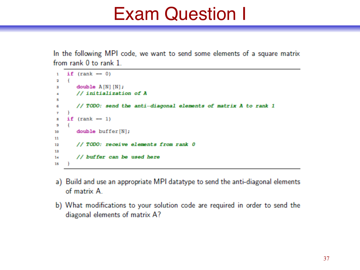### Exam Question I

In the following MPI code, we want to send some elements of a square matrix from rank 0 to rank 1

```
if (rank - 0)\mathbf{1}\mathbf{f}2
        double A[N] [N];
з
        // initialization of A
\overline{\mathbf{a}}ĸ
        // TODO: send the anti-diagonal elements of matrix A to rank 1
6
     -1
\mathbf{r}if (rank - 1)8
    \rightarrow9
        double buffer[N];
10
11
       // TODO: receive elements from rank 0
12
13
        // buffer can be used here
1415
```
- a) Build and use an appropriate MPI datatype to send the anti-diagonal elements of matrix A
- b) What modifications to your solution code are required in order to send the diagonal elements of matrix A?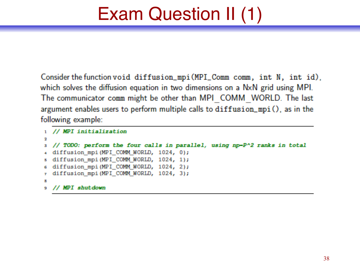# Exam Question II (1)

Consider the function void diffusion\_mpi(MPI\_Comm comm, int N, int id), which solves the diffusion equation in two dimensions on a NxN grid using MPI. The communicator comm might be other than MPI COMM WORLD. The last argument enables users to perform multiple calls to diffusion\_mpi(), as in the following example:

```
1 // MPI initialization
\overline{\mathbf{2}}3 // TODO: perform the four calls in parallel, using np-P^2 ranks in total
4 diffusion_mpi(MPI_COMM_WORLD, 1024, 0);
s diffusion mpi (MPI COMM WORLD, 1024, 1);
6 diffusion_mpi(MPI_COMM_WORLD, 1024, 2);
7 diffusion_mpi(MPI_COMM_WORLD, 1024, 3);
8
9 // MPI shutdown
```